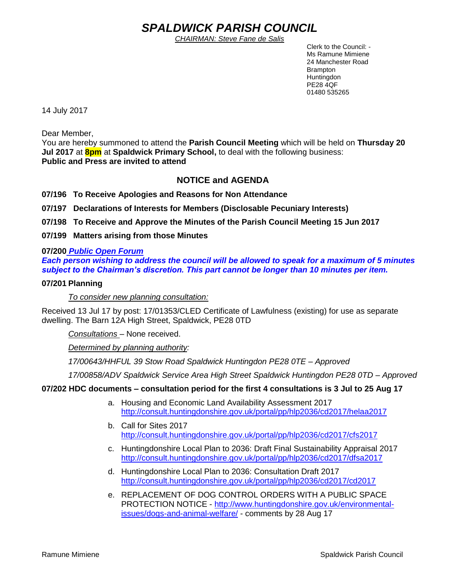# *SPALDWICK PARISH COUNCIL*

*CHAIRMAN: Steve Fane de Salis*

 Clerk to the Council: - Ms Ramune Mimiene 24 Manchester Road Brampton **Huntingdon** PE28 4QF 01480 535265

14 July 2017

Dear Member,

You are hereby summoned to attend the **Parish Council Meeting** which will be held on **Thursday 20 Jul 2017** at **8pm** at **Spaldwick Primary School,** to deal with the following business: **Public and Press are invited to attend**

# **NOTICE and AGENDA**

**07/196 To Receive Apologies and Reasons for Non Attendance**

**07/197 Declarations of Interests for Members (Disclosable Pecuniary Interests)**

**07/198 To Receive and Approve the Minutes of the Parish Council Meeting 15 Jun 2017**

**07/199 Matters arising from those Minutes**

## **07/200** *Public Open Forum*

*Each person wishing to address the council will be allowed to speak for a maximum of 5 minutes subject to the Chairman's discretion. This part cannot be longer than 10 minutes per item.* 

## **07/201 Planning**

*To consider new planning consultation:* 

Received 13 Jul 17 by post: 17/01353/CLED Certificate of Lawfulness (existing) for use as separate dwelling. The Barn 12A High Street, Spaldwick, PE28 0TD

*Consultations* – None received.

*Determined by planning authority:*

*17/00643/HHFUL 39 Stow Road Spaldwick Huntingdon PE28 0TE – Approved*

*17/00858/ADV Spaldwick Service Area High Street Spaldwick Huntingdon PE28 0TD – Approved*

# **07/202 HDC documents – consultation period for the first 4 consultations is 3 Jul to 25 Aug 17**

- a. Housing and Economic Land Availability Assessment 2017 <http://consult.huntingdonshire.gov.uk/portal/pp/hlp2036/cd2017/helaa2017>
- b. Call for Sites 2017 <http://consult.huntingdonshire.gov.uk/portal/pp/hlp2036/cd2017/cfs2017>
- c. Huntingdonshire Local Plan to 2036: Draft Final Sustainability Appraisal 2017 <http://consult.huntingdonshire.gov.uk/portal/pp/hlp2036/cd2017/dfsa2017>
- d. Huntingdonshire Local Plan to 2036: Consultation Draft 2017 <http://consult.huntingdonshire.gov.uk/portal/pp/hlp2036/cd2017/cd2017>
- e. REPLACEMENT OF DOG CONTROL ORDERS WITH A PUBLIC SPACE PROTECTION NOTICE - [http://www.huntingdonshire.gov.uk/environmental](http://www.huntingdonshire.gov.uk/environmental-issues/dogs-and-animal-welfare/)[issues/dogs-and-animal-welfare/](http://www.huntingdonshire.gov.uk/environmental-issues/dogs-and-animal-welfare/) - comments by 28 Aug 17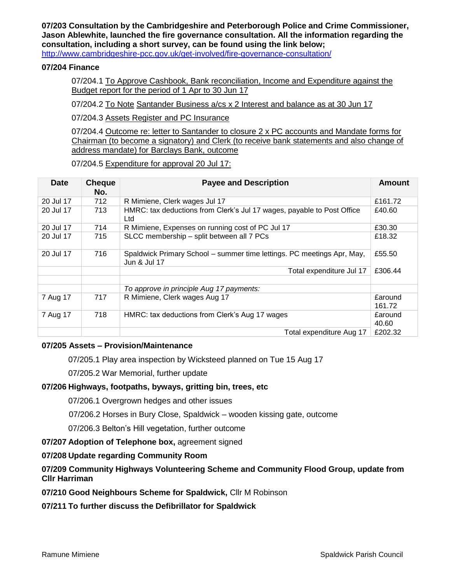**07/203 Consultation by the Cambridgeshire and Peterborough Police and Crime Commissioner, Jason Ablewhite, launched the fire governance consultation. All the information regarding the consultation, including a short survey, can be found using the link below;** 

<http://www.cambridgeshire-pcc.gov.uk/get-involved/fire-governance-consultation/>

## **07/204 Finance**

07/204.1 To Approve Cashbook, Bank reconciliation, Income and Expenditure against the Budget report for the period of 1 Apr to 30 Jun 17

07/204.2 To Note Santander Business a/cs x 2 Interest and balance as at 30 Jun 17

07/204.3 Assets Register and PC Insurance

07/204.4 Outcome re: letter to Santander to closure 2 x PC accounts and Mandate forms for Chairman (to become a signatory) and Clerk (to receive bank statements and also change of address mandate) for Barclays Bank, outcome

07/204.5 Expenditure for approval 20 Jul 17:

| <b>Date</b> | <b>Cheque</b><br>No. | <b>Payee and Description</b>                                                           | Amount                  |
|-------------|----------------------|----------------------------------------------------------------------------------------|-------------------------|
| 20 Jul 17   | 712                  | R Mimiene, Clerk wages Jul 17                                                          | £161.72                 |
| 20 Jul 17   | 713                  | HMRC: tax deductions from Clerk's Jul 17 wages, payable to Post Office<br>Ltd          | £40.60                  |
| 20 Jul 17   | 714                  | R Mimiene, Expenses on running cost of PC Jul 17                                       | £30.30                  |
| 20 Jul 17   | 715                  | SLCC membership - split between all 7 PCs                                              | £18.32                  |
| 20 Jul 17   | 716                  | Spaldwick Primary School - summer time lettings. PC meetings Apr, May,<br>Jun & Jul 17 | £55.50                  |
|             |                      | Total expenditure Jul 17                                                               | £306.44                 |
|             |                      | To approve in principle Aug 17 payments:                                               |                         |
| 7 Aug 17    | 717                  | R Mimiene, Clerk wages Aug 17                                                          | £around<br>161.72       |
| 7 Aug 17    | 718                  | HMRC: tax deductions from Clerk's Aug 17 wages                                         | <b>£around</b><br>40.60 |
|             |                      | Total expenditure Aug 17                                                               | £202.32                 |

## **07/205 Assets – Provision/Maintenance**

07/205.1 Play area inspection by Wicksteed planned on Tue 15 Aug 17

07/205.2 War Memorial, further update

## **07/206 Highways, footpaths, byways, gritting bin, trees, etc**

07/206.1 Overgrown hedges and other issues

07/206.2 Horses in Bury Close, Spaldwick – wooden kissing gate, outcome

07/206.3 Belton's Hill vegetation, further outcome

## **07/207 Adoption of Telephone box,** agreement signed

## **07/208 Update regarding Community Room**

# **07/209 Community Highways Volunteering Scheme and Community Flood Group, update from Cllr Harriman**

**07/210 Good Neighbours Scheme for Spaldwick,** Cllr M Robinson

# **07/211 To further discuss the Defibrillator for Spaldwick**